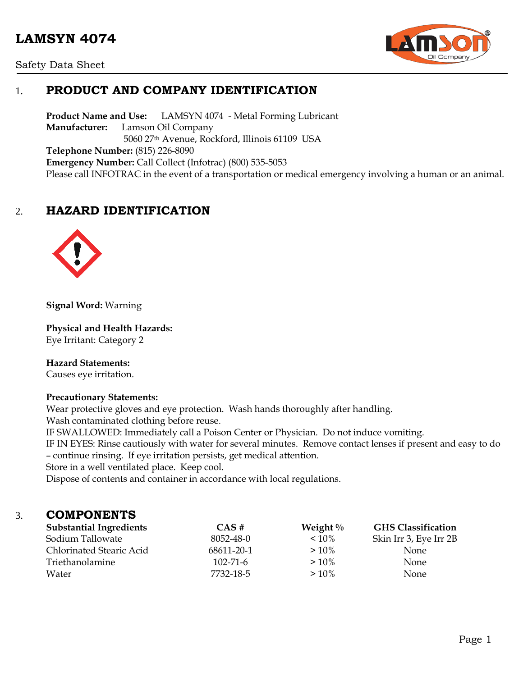# **LAMSYN 4074**





# 1. **PRODUCT AND COMPANY IDENTIFICATION**

**Product Name and Use:** LAMSYN 4074 - Metal Forming Lubricant **Manufacturer:** Lamson Oil Company 5060 27th Avenue, Rockford, Illinois 61109 USA **Telephone Number:** (815) 226-8090 **Emergency Number:** Call Collect (Infotrac) (800) 535-5053 Please call INFOTRAC in the event of a transportation or medical emergency involving a human or an animal.

# 2. **HAZARD IDENTIFICATION**



**Signal Word:** Warning

**Physical and Health Hazards:**

Eye Irritant: Category 2

#### **Hazard Statements:**

Causes eye irritation.

#### **Precautionary Statements:**

Wear protective gloves and eye protection. Wash hands thoroughly after handling. Wash contaminated clothing before reuse.

IF SWALLOWED: Immediately call a Poison Center or Physician. Do not induce vomiting.

IF IN EYES: Rinse cautiously with water for several minutes. Remove contact lenses if present and easy to do – continue rinsing. If eye irritation persists, get medical attention.

Store in a well ventilated place. Keep cool.

Dispose of contents and container in accordance with local regulations.

### 3. **COMPONENTS**

| <b>Substantial Ingredients</b> | CAS#           | Weight $\%$ | <b>GHS Classification</b> |
|--------------------------------|----------------|-------------|---------------------------|
| Sodium Tallowate               | 8052-48-0      | $< 10\%$    | Skin Irr 3, Eye Irr 2B    |
| Chlorinated Stearic Acid       | 68611-20-1     | $>10\%$     | None.                     |
| Triethanolamine                | $102 - 71 - 6$ | $>10\%$     | <b>None</b>               |
| Water                          | 7732-18-5      | $>10\%$     | <b>None</b>               |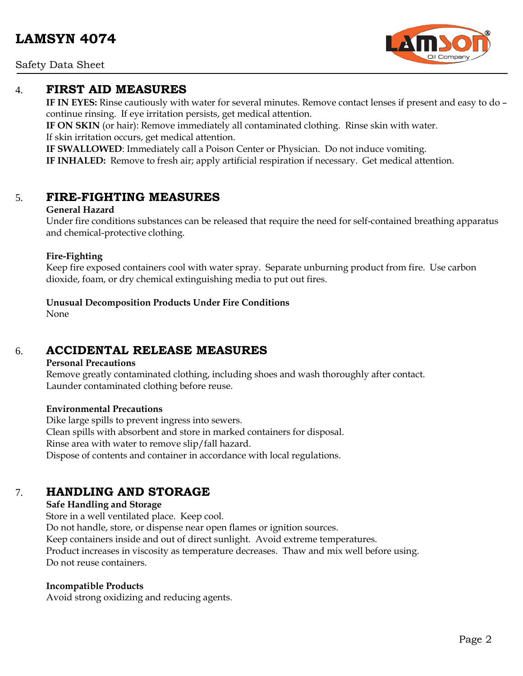Safety Data Sheet

### 4. **FIRST AID MEASURES**

**IF IN EYES:** Rinse cautiously with water for several minutes. Remove contact lenses if present and easy to do – continue rinsing. If eye irritation persists, get medical attention.

**IF ON SKIN** (or hair): Remove immediately all contaminated clothing. Rinse skin with water. If skin irritation occurs, get medical attention.

**IF SWALLOWED**: Immediately call a Poison Center or Physician. Do not induce vomiting.

**IF INHALED:** Remove to fresh air; apply artificial respiration if necessary. Get medical attention.

### 5. **FIRE-FIGHTING MEASURES**

#### **General Hazard**

Under fire conditions substances can be released that require the need for self-contained breathing apparatus and chemical-protective clothing.

#### **Fire-Fighting**

Keep fire exposed containers cool with water spray. Separate unburning product from fire. Use carbon dioxide, foam, or dry chemical extinguishing media to put out fires.

**Unusual Decomposition Products Under Fire Conditions**

None

## 6. **ACCIDENTAL RELEASE MEASURES**

#### **Personal Precautions**

Remove greatly contaminated clothing, including shoes and wash thoroughly after contact. Launder contaminated clothing before reuse.

#### **Environmental Precautions**

Dike large spills to prevent ingress into sewers. Clean spills with absorbent and store in marked containers for disposal. Rinse area with water to remove slip/fall hazard. Dispose of contents and container in accordance with local regulations.

# 7. **HANDLING AND STORAGE**

#### **Safe Handling and Storage**

Store in a well ventilated place. Keep cool. Do not handle, store, or dispense near open flames or ignition sources. Keep containers inside and out of direct sunlight. Avoid extreme temperatures. Product increases in viscosity as temperature decreases. Thaw and mix well before using. Do not reuse containers.

#### **Incompatible Products**

Avoid strong oxidizing and reducing agents.

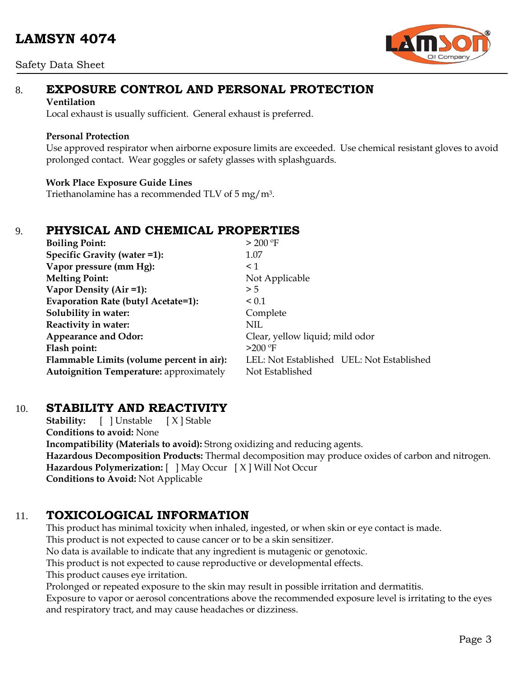#### Safety Data Sheet



# 8. **EXPOSURE CONTROL AND PERSONAL PROTECTION**

#### **Ventilation**

Local exhaust is usually sufficient. General exhaust is preferred.

#### **Personal Protection**

Use approved respirator when airborne exposure limits are exceeded. Use chemical resistant gloves to avoid prolonged contact. Wear goggles or safety glasses with splashguards.

#### **Work Place Exposure Guide Lines**

Triethanolamine has a recommended TLV of 5 mg/m3.

## 9. **PHYSICAL AND CHEMICAL PROPERTIES**

| <b>Boiling Point:</b>                          | > 200 °F                                  |
|------------------------------------------------|-------------------------------------------|
| Specific Gravity (water =1):                   | 1.07                                      |
| Vapor pressure (mm Hg):                        | $\leq$ 1                                  |
| <b>Melting Point:</b>                          | Not Applicable                            |
| Vapor Density (Air =1):                        | > 5                                       |
| Evaporation Rate (butyl Acetate=1):            | < 0.1                                     |
| Solubility in water:                           | Complete                                  |
| Reactivity in water:                           | <b>NIL</b>                                |
| <b>Appearance and Odor:</b>                    | Clear, yellow liquid; mild odor           |
| Flash point:                                   | $>200$ °F                                 |
| Flammable Limits (volume percent in air):      | LEL: Not Established UEL: Not Established |
| <b>Autoignition Temperature: approximately</b> | Not Established                           |

## 10. **STABILITY AND REACTIVITY**

**Stability:** [ ] Unstable [ X ] Stable **Conditions to avoid:** None **Incompatibility (Materials to avoid):** Strong oxidizing and reducing agents. **Hazardous Decomposition Products:** Thermal decomposition may produce oxides of carbon and nitrogen. **Hazardous Polymerization:** [ ] May Occur [ X ] Will Not Occur **Conditions to Avoid:** Not Applicable

# 11. **TOXICOLOGICAL INFORMATION**

This product has minimal toxicity when inhaled, ingested, or when skin or eye contact is made. This product is not expected to cause cancer or to be a skin sensitizer.

No data is available to indicate that any ingredient is mutagenic or genotoxic.

This product is not expected to cause reproductive or developmental effects.

This product causes eye irritation.

Prolonged or repeated exposure to the skin may result in possible irritation and dermatitis.

Exposure to vapor or aerosol concentrations above the recommended exposure level is irritating to the eyes and respiratory tract, and may cause headaches or dizziness.